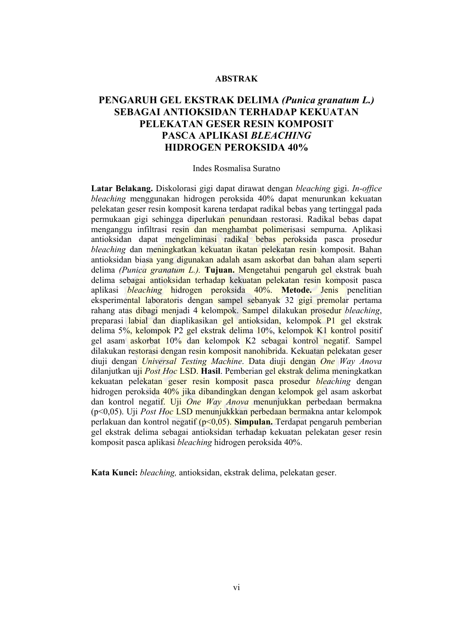### **ABSTRAK**

# **PENGARUH GEL EKSTRAK DELIMA** *(Punica granatum L.)*  **SEBAGAI ANTIOKSIDAN TERHADAP KEKUATAN PELEKATAN GESER RESIN KOMPOSIT PASCA APLIKASI** *BLEACHING*  **HIDROGEN PEROKSIDA 40%**

#### Indes Rosmalisa Suratno

**Latar Belakang.** Diskolorasi gigi dapat dirawat dengan *bleaching* gigi. *In-office bleaching* menggunakan hidrogen peroksida 40% dapat menurunkan kekuatan pelekatan geser resin komposit karena terdapat radikal bebas yang tertinggal pada permukaan gigi sehingga diperlukan penundaan restorasi. Radikal bebas dapat menganggu infiltrasi resin dan menghambat polimerisasi sempurna. Aplikasi antioksidan dapat mengeliminasi radikal bebas peroksida pasca prosedur *bleaching* dan meningkatkan kekuatan ikatan pelekatan resin komposit. Bahan antioksidan biasa yang digunakan adalah asam askorbat dan bahan alam seperti delima *(Punica granatum L.).* **Tujuan.** Mengetahui pengaruh gel ekstrak buah delima sebagai antioksidan terhadap kekuatan pelekatan resin komposit pasca aplikasi *bleaching* hidrogen peroksida 40%. **Metode.** Jenis penelitian eksperimental laboratoris dengan sampel sebanyak 32 gigi premolar pertama rahang atas dibagi menjadi 4 kelompok. Sampel dilakukan prosedur *bleaching*, preparasi labial dan diaplikasikan gel antioksidan, kelompok P1 gel ekstrak delima 5%, kelompok P2 gel ekstrak delima 10%, kelompok K1 kontrol positif gel asam askorbat 10% dan kelompok K2 sebagai kontrol negatif. Sampel dilakukan restorasi dengan resin komposit nanohibrida. Kekuatan pelekatan geser diuji dengan *Universal Testing Machine*. Data diuji dengan *One Way Anova*  dilanjutkan uji *Post Hoc* LSD. **Hasil**. Pemberian gel ekstrak delima meningkatkan kekuatan pelekatan geser resin komposit pasca prosedur *bleaching* dengan hidrogen peroksida 40% jika dibandingkan dengan kelompok gel asam askorbat dan kontrol negatif. Uji *One Way Anova* menunjukkan perbedaan bermakna (p<0,05). Uji *Post Hoc* LSD menunjukkkan perbedaan bermakna antar kelompok perlakuan dan kontrol negatif (p<0,05). **Simpulan.** Terdapat pengaruh pemberian gel ekstrak delima sebagai antioksidan terhadap kekuatan pelekatan geser resin komposit pasca aplikasi *bleaching* hidrogen peroksida 40%.

**Kata Kunci:** *bleaching,* antioksidan, ekstrak delima, pelekatan geser.